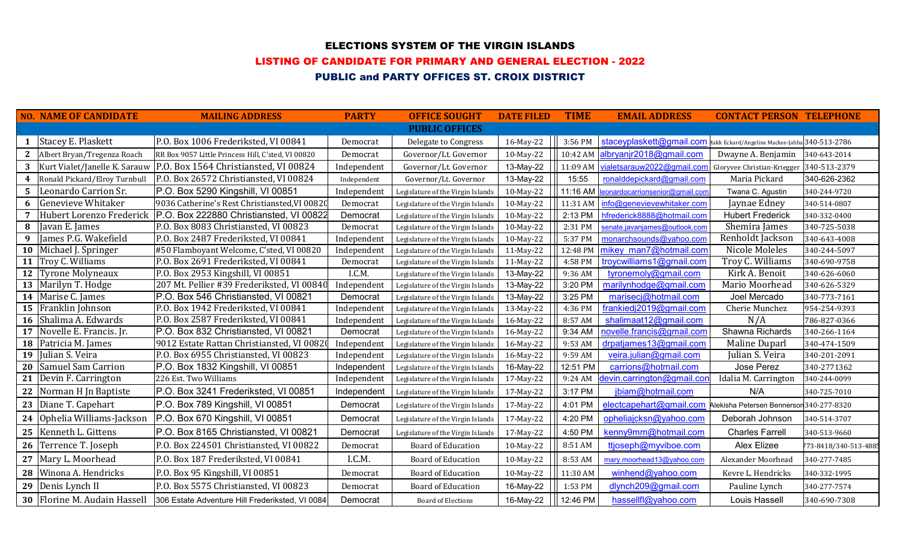## ELECTIONS SYSTEM OF THE VIRGIN ISLANDS

#### LISTING OF CANDIDATE FOR PRIMARY AND GENERAL ELECTION - 2022

# PUBLIC and PARTY OFFICES ST. CROIX DISTRICT

|   | <b>NO. NAME OF CANDIDATE</b>    | <b>MAILING ADDRESS</b>                                                    | <b>PARTY</b> | <b>OFFICE SOUGHT</b>              | <b>DATE FILED</b> | <b>TIME</b> | <b>EMAIL ADDRESS</b>                                                    | <b>CONTACT PERSON TELEPHONE</b>          |                       |
|---|---------------------------------|---------------------------------------------------------------------------|--------------|-----------------------------------|-------------------|-------------|-------------------------------------------------------------------------|------------------------------------------|-----------------------|
|   |                                 |                                                                           |              | <b>PUBLIC OFFICES</b>             |                   |             |                                                                         |                                          |                       |
|   | 1 Stacey E. Plaskett            | P.O. Box 1006 Frederiksted, VI 00841                                      | Democrat     | Delegate to Congress              | 16-May-22         | 3:56 PM     | staceyplaskett@gmail.com Makk Eckard/Angeline Mackee-Jabba 340-513-2786 |                                          |                       |
|   | 2   Albert Bryan/Tregenza Roach | RR Box 9057 Little Princess Hill, C'sted, VI 00820                        | Democrat     | Governor/Lt. Governor             | 10-May-22         | 10:42 AM    | albryanjr2018@gmail.com                                                 | Dwayne A. Benjamin                       | 340-643-2014          |
|   |                                 | 3   Kurt Vialet/Janelle K. Sarauw   P.O. Box 1564 Christiansted, VI 00824 | Independent  | Governor/Lt. Governor             | 13-May-22         | 11:09 AM    | vialetsarauw2022@gmail.com                                              | Gloryvee Christian-Kriegger 340-513-2379 |                       |
| 4 | Ronald Pickard/Elroy Turnbull   | P.O. Box 26572 Christiansted, VI 00824                                    | Independent  | Governor/Lt. Governor             | 13-May-22         | 15:55       | ronalddepickard@gmail.com                                               | Maria Pickard                            | 340-626-2362          |
|   | 5 Leonardo Carrion Sr.          | P.O. Box 5290 Kingshill, VI 00851                                         | Independent  | Legislature of the Virgin Islands | 10-May-22         | 11:16 AM    | leonardocarrionsenior@gmail.com                                         | Twana C. Agustin                         | 340-244-9720          |
| 6 | Genevieve Whitaker              | 9036 Catherine's Rest Christiansted, VI 00820                             | Democrat     | Legislature of the Virgin Islands | 10-May-22         | 11:31 AM    | info@genevievewhitaker.com                                              | Jaynae Edney                             | 340-514-0807          |
| 7 | Hubert Lorenzo Frederick        | P.O. Box 222880 Christiansted, VI 00822                                   | Democrat     | Legislature of the Virgin Islands | 10-May-22         | 2:13 PM     | hfrederick8888@hotmail.com                                              | <b>Hubert Frederick</b>                  | 340-332-0400          |
|   | 8 Javan E. James                | P.O. Box 8083 Christiansted, VI 00823                                     | Democrat     | Legislature of the Virgin Islands | 10-May-22         | 2:31 PM     | senate.javanjames@outlook.com                                           | Shemira James                            | 340-725-5038          |
| 9 | James P.G. Wakefield            | P.O. Box 2487 Frederiksted, VI 00841                                      | Independent  | Legislature of the Virgin Islands | 10-May-22         | 5:37 PM     | monarchsounds@yahoo.com                                                 | Renholdt Jackson                         | 340-643-4008          |
|   | 10 Michael J. Springer          | #50 Flamboyant Welcome, C'sted, VI 00820                                  | Independent  | Legislature of the Virgin Islands | 11-May-22         | 12:48 PM    | mikey man7@hotmail.com                                                  | Nicole Moleles                           | 340-244-5097          |
|   | 11 Troy C. Williams             | P.O. Box 2691 Frederiksted, VI 00841                                      | Democrat     | Legislature of the Virgin Islands | 11-May-22         | 4:58 PM     | troycwilliams1@gmail.com                                                | Troy C. Williams                         | 340-690-9758          |
|   | 12 Tyrone Molyneaux             | P.O. Box 2953 Kingshill, VI 00851                                         | I.C.M.       | Legislature of the Virgin Islands | 13-May-22         | 9:36 AM     | tyronemoly@gmail.com                                                    | Kirk A. Benoit                           | 340-626-6060          |
|   | 13 Marilyn T. Hodge             | 207 Mt. Pellier #39 Frederiksted, VI 00840                                | Independent  | Legislature of the Virgin Islands | 13-May-22         | 3:20 PM     | marilynhodge@gmail.com                                                  | Mario Moorhead                           | 340-626-5329          |
|   | 14 Marise C. James              | P.O. Box 546 Christiansted, VI 00821                                      | Democrat     | Legislature of the Virgin Islands | 13-May-22         | 3:25 PM     | marisecj@hotmail.com                                                    | Joel Mercado                             | 340-773-7161          |
|   | 15 Franklin Johnson             | P.O. Box 1942 Frederiksted, VI 00841                                      | Independent  | Legislature of the Virgin Islands | 13-May-22         | 4:36 PM     | frankiedj2019@gmail.com                                                 | Cherie Munchez                           | 954-254-9393          |
|   | 16 Shalima A. Edwards           | P.O. Box 2587 Frederiksted, VI 00841                                      | Independent  | Legislature of the Virgin Islands | 16-May-22         | 8:57 AM     | shalimaat12@gmail.com                                                   | N/A                                      | 786-827-0366          |
|   | 17 Novelle E. Francis. Jr.      | P.O. Box 832 Christiansted, VI 00821                                      | Democrat     | Legislature of the Virgin Islands | 16-May-22         | 9:34 AM     | novelle.francis@gmail.com                                               | Shawna Richards                          | 340-266-1164          |
|   | 18 Patricia M. James            | 9012 Estate Rattan Christiansted, VI 00820                                | Independent  | Legislature of the Virgin Islands | 16-May-22         | 9:53 AM     | drpatjames13@gmail.com                                                  | <b>Maline Duparl</b>                     | 340-474-1509          |
|   | 19 Julian S. Veira              | P.O. Box 6955 Christiansted, VI 00823                                     | Independent  | Legislature of the Virgin Islands | 16-May-22         | 9:59 AM     | veira.julian@gmail.com                                                  | Julian S. Veira                          | 340-201-2091          |
|   | 20 Samuel Sam Carrion           | P.O. Box 1832 Kingshill, VI 00851                                         | Independent  | Legislature of the Virgin Islands | 16-May-22         | 12:51 PM    | carrions@hotmail.com                                                    | Jose Perez                               | 340-2771362           |
|   | 21 Devin F. Carrington          | 226 Est. Two Williams                                                     | Independent  | Legislature of the Virgin Islands | 17-May-22         | 9:24 AM     | devin.carrington@gmail.con                                              | Idalia M. Carrington                     | 340-244-0099          |
|   | 22 Norman H Jn Baptiste         | P.O. Box 3241 Frederiksted, VI 00851                                      | Independent  | Legislature of the Virgin Islands | 17-May-22         | 3:17 PM     | jbiam@hotmail.com                                                       | N/A                                      | 340-725-7010          |
|   | 23 Diane T. Capehart            | P.O. Box 789 Kingshill, VI 00851                                          | Democrat     | Legislature of the Virgin Islands | 17-May-22         | 4:01 PM     | electcapehart@gmail.com Alekisha Petersen Bennerson 340-277-8320        |                                          |                       |
|   | 24 Ophelia Williams-Jackson     | P.O. Box 670 Kingshill, VI 00851                                          | Democrat     | Legislature of the Virgin Islands | 17-May-22         | 4:20 PM     | opheliajcksn@yahoo.com                                                  | Deborah Johnson                          | 340-514-3707          |
|   | 25   Kenneth L. Gittens         | P.O. Box 8165 Christiansted, VI 00821                                     | Democrat     | Legislature of the Virgin Islands | 17-May-22         | 4:50 PM     | kenny9mm@hotmail.com                                                    | <b>Charles Farrell</b>                   | 340-513-9660          |
|   | 26 Terrence T. Joseph           | P.O. Box 224501 Christiansted, VI 00822                                   | Democrat     | <b>Board of Education</b>         | 10-May-22         | 8:51 AM     | ttjoseph@myviboe.com                                                    | Alex Elizee                              | 773-8418/340-513-488! |
|   | 27 Mary L. Moorhead             | P.O. Box 187 Frederiksted, VI 00841                                       | I.C.M.       | <b>Board of Education</b>         | 10-May-22         | 8:53 AM     | mary.moorhead13@yahoo.com                                               | Alexander Moorhead                       | 340-277-7485          |
|   | 28 Winona A. Hendricks          | P.O. Box 95 Kingshill, VI 00851                                           | Democrat     | <b>Board of Education</b>         | 10-May-22         | 11:30 AM    | winhend@yahoo.com                                                       | Kevre L. Hendricks                       | 340-332-1995          |
|   | 29 Denis Lynch II               | P.O. Box 5575 Christiansted, VI 00823                                     | Democrat     | <b>Board of Education</b>         | 16-May-22         | 1:53 PM     | dlynch209@gmail.com                                                     | Pauline Lynch                            | 340-277-7574          |
|   | 30 Florine M. Audain Hassell    | 306 Estate Adventure Hill Frederiksted, VI 0084                           | Democrat     | <b>Board of Elections</b>         | 16-May-22         | 12:46 PM    | hassellfl@yahoo.com                                                     | Louis Hassell                            | 340-690-7308          |